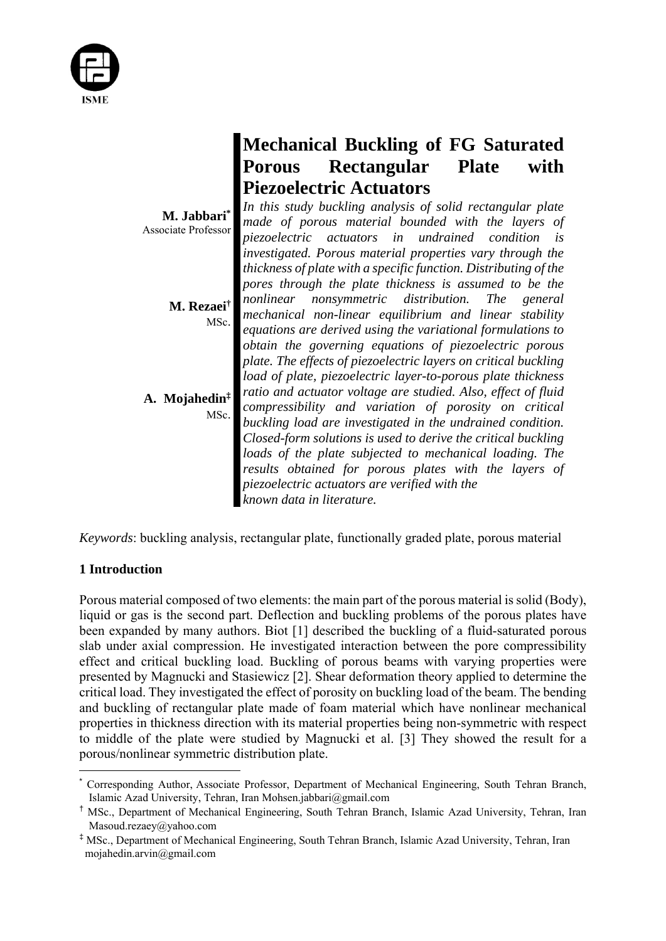

|                                           | <b>Mechanical Buckling of FG Saturated</b>                                                                                                                                                                                            |                                                                                                                                                                                                                                                       |              |      |  |
|-------------------------------------------|---------------------------------------------------------------------------------------------------------------------------------------------------------------------------------------------------------------------------------------|-------------------------------------------------------------------------------------------------------------------------------------------------------------------------------------------------------------------------------------------------------|--------------|------|--|
|                                           | <b>Porous</b>                                                                                                                                                                                                                         | Rectangular                                                                                                                                                                                                                                           | <b>Plate</b> | with |  |
|                                           | <b>Piezoelectric Actuators</b>                                                                                                                                                                                                        |                                                                                                                                                                                                                                                       |              |      |  |
| M. Jabbari*<br><b>Associate Professor</b> | In this study buckling analysis of solid rectangular plate<br>made of porous material bounded with the layers of<br>piezoelectric actuators in undrained condition<br>is<br>investigated. Porous material properties vary through the |                                                                                                                                                                                                                                                       |              |      |  |
|                                           |                                                                                                                                                                                                                                       | thickness of plate with a specific function. Distributing of the<br>pores through the plate thickness is assumed to be the                                                                                                                            |              |      |  |
| M. Rezaei <sup>†</sup><br>MSc.            |                                                                                                                                                                                                                                       | nonlinear nonsymmetric distribution. The general<br>mechanical non-linear equilibrium and linear stability<br>equations are derived using the variational formulations to                                                                             |              |      |  |
|                                           |                                                                                                                                                                                                                                       | obtain the governing equations of piezoelectric porous<br>plate. The effects of piezoelectric layers on critical buckling<br>load of plate, piezoelectric layer-to-porous plate thickness                                                             |              |      |  |
| A. Mojahedin <sup>‡</sup><br>MSc.         |                                                                                                                                                                                                                                       | ratio and actuator voltage are studied. Also, effect of fluid<br>compressibility and variation of porosity on critical<br>buckling load are investigated in the undrained condition.<br>Closed-form solutions is used to derive the critical buckling |              |      |  |
|                                           | known data in literature.                                                                                                                                                                                                             | loads of the plate subjected to mechanical loading. The<br>results obtained for porous plates with the layers of<br>piezoelectric actuators are verified with the                                                                                     |              |      |  |

*Keywords*: buckling analysis, rectangular plate, functionally graded plate, porous material

# **1 Introduction**

Porous material composed of two elements: the main part of the porous material is solid (Body), liquid or gas is the second part. Deflection and buckling problems of the porous plates have been expanded by many authors. Biot [1] described the buckling of a fluid-saturated porous slab under axial compression. He investigated interaction between the pore compressibility effect and critical buckling load. Buckling of porous beams with varying properties were presented by Magnucki and Stasiewicz [2]. Shear deformation theory applied to determine the critical load. They investigated the effect of porosity on buckling load of the beam. The bending and buckling of rectangular plate made of foam material which have nonlinear mechanical properties in thickness direction with its material properties being non-symmetric with respect to middle of the plate were studied by Magnucki et al. [3] They showed the result for a porous/nonlinear symmetric distribution plate.

<sup>\*</sup> Corresponding Author, Associate Professor, Department of Mechanical Engineering, South Tehran Branch, Islamic Azad University, Tehran, Iran Mohsen.jabbari@gmail.com

<sup>†</sup> MSc., Department of Mechanical Engineering, South Tehran Branch, Islamic Azad University, Tehran, Iran Masoud.rezaey@yahoo.com

<sup>‡</sup> MSc., Department of Mechanical Engineering, South Tehran Branch, Islamic Azad University, Tehran, Iran mojahedin.arvin@gmail.com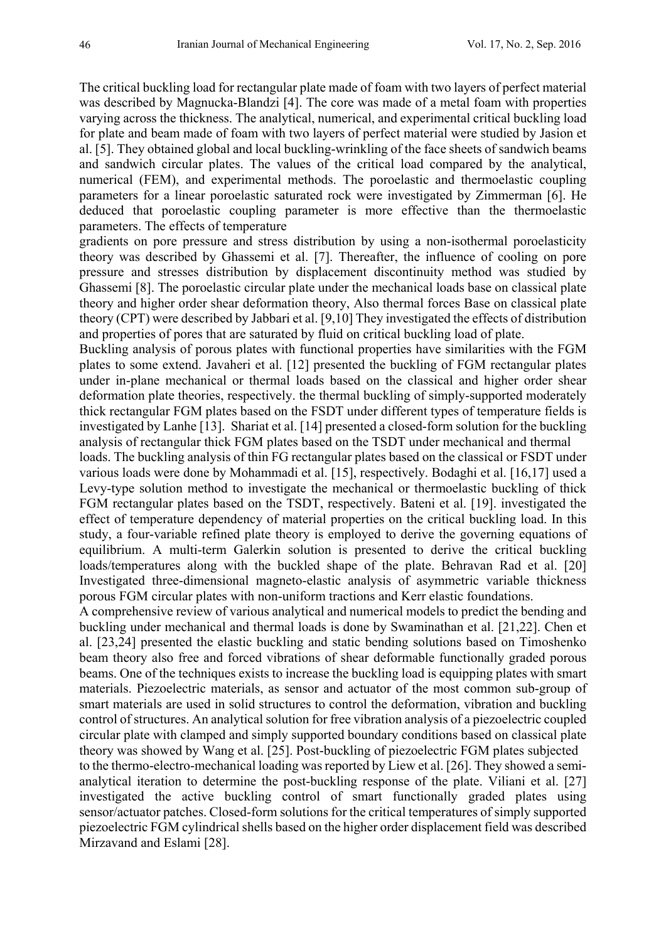The critical buckling load for rectangular plate made of foam with two layers of perfect material was described by Magnucka-Blandzi [4]. The core was made of a metal foam with properties varying across the thickness. The analytical, numerical, and experimental critical buckling load for plate and beam made of foam with two layers of perfect material were studied by Jasion et al. [5]. They obtained global and local buckling-wrinkling of the face sheets of sandwich beams and sandwich circular plates. The values of the critical load compared by the analytical, numerical (FEM), and experimental methods. The poroelastic and thermoelastic coupling parameters for a linear poroelastic saturated rock were investigated by Zimmerman [6]. He deduced that poroelastic coupling parameter is more effective than the thermoelastic parameters. The effects of temperature

gradients on pore pressure and stress distribution by using a non-isothermal poroelasticity theory was described by Ghassemi et al. [7]. Thereafter, the influence of cooling on pore pressure and stresses distribution by displacement discontinuity method was studied by Ghassemi [8]. The poroelastic circular plate under the mechanical loads base on classical plate theory and higher order shear deformation theory, Also thermal forces Base on classical plate theory (CPT) were described by Jabbari et al. [9,10] They investigated the effects of distribution and properties of pores that are saturated by fluid on critical buckling load of plate.

Buckling analysis of porous plates with functional properties have similarities with the FGM plates to some extend. Javaheri et al. [12] presented the buckling of FGM rectangular plates under in-plane mechanical or thermal loads based on the classical and higher order shear deformation plate theories, respectively. the thermal buckling of simply-supported moderately thick rectangular FGM plates based on the FSDT under different types of temperature fields is investigated by Lanhe [13]. Shariat et al. [14] presented a closed-form solution for the buckling analysis of rectangular thick FGM plates based on the TSDT under mechanical and thermal

loads. The buckling analysis of thin FG rectangular plates based on the classical or FSDT under various loads were done by Mohammadi et al. [15], respectively. Bodaghi et al. [16,17] used a Levy-type solution method to investigate the mechanical or thermoelastic buckling of thick FGM rectangular plates based on the TSDT, respectively. Bateni et al. [19]. investigated the effect of temperature dependency of material properties on the critical buckling load. In this study, a four-variable refined plate theory is employed to derive the governing equations of equilibrium. A multi-term Galerkin solution is presented to derive the critical buckling loads/temperatures along with the buckled shape of the plate. Behravan Rad et al. [20] Investigated three-dimensional magneto-elastic analysis of asymmetric variable thickness porous FGM circular plates with non-uniform tractions and Kerr elastic foundations.

A comprehensive review of various analytical and numerical models to predict the bending and buckling under mechanical and thermal loads is done by Swaminathan et al. [21,22]. Chen et al. [23,24] presented the elastic buckling and static bending solutions based on Timoshenko beam theory also free and forced vibrations of shear deformable functionally graded porous beams. One of the techniques exists to increase the buckling load is equipping plates with smart materials. Piezoelectric materials, as sensor and actuator of the most common sub-group of smart materials are used in solid structures to control the deformation, vibration and buckling control of structures. An analytical solution for free vibration analysis of a piezoelectric coupled circular plate with clamped and simply supported boundary conditions based on classical plate theory was showed by Wang et al. [25]. Post-buckling of piezoelectric FGM plates subjected to the thermo-electro-mechanical loading was reported by Liew et al. [26]. They showed a semianalytical iteration to determine the post-buckling response of the plate. Viliani et al. [27] investigated the active buckling control of smart functionally graded plates using sensor/actuator patches. Closed-form solutions for the critical temperatures of simply supported piezoelectric FGM cylindrical shells based on the higher order displacement field was described Mirzavand and Eslami [28].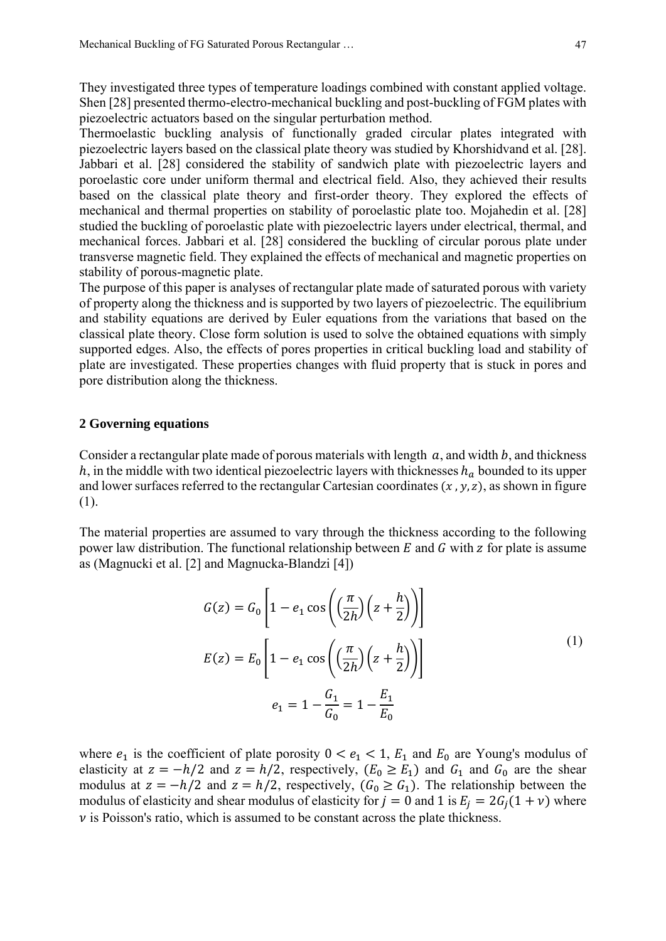They investigated three types of temperature loadings combined with constant applied voltage. Shen [28] presented thermo-electro-mechanical buckling and post-buckling of FGM plates with piezoelectric actuators based on the singular perturbation method.

Thermoelastic buckling analysis of functionally graded circular plates integrated with piezoelectric layers based on the classical plate theory was studied by Khorshidvand et al. [28]. Jabbari et al. [28] considered the stability of sandwich plate with piezoelectric layers and poroelastic core under uniform thermal and electrical field. Also, they achieved their results based on the classical plate theory and first-order theory. They explored the effects of mechanical and thermal properties on stability of poroelastic plate too. Mojahedin et al. [28] studied the buckling of poroelastic plate with piezoelectric layers under electrical, thermal, and mechanical forces. Jabbari et al. [28] considered the buckling of circular porous plate under transverse magnetic field. They explained the effects of mechanical and magnetic properties on stability of porous-magnetic plate.

The purpose of this paper is analyses of rectangular plate made of saturated porous with variety of property along the thickness and is supported by two layers of piezoelectric. The equilibrium and stability equations are derived by Euler equations from the variations that based on the classical plate theory. Close form solution is used to solve the obtained equations with simply supported edges. Also, the effects of pores properties in critical buckling load and stability of plate are investigated. These properties changes with fluid property that is stuck in pores and pore distribution along the thickness.

### **2 Governing equations**

Consider a rectangular plate made of porous materials with length  $a$ , and width  $b$ , and thickness h, in the middle with two identical piezoelectric layers with thicknesses  $h_a$  bounded to its upper and lower surfaces referred to the rectangular Cartesian coordinates  $(x, y, z)$ , as shown in figure (1).

The material properties are assumed to vary through the thickness according to the following power law distribution. The functional relationship between  $E$  and  $G$  with  $Z$  for plate is assume as (Magnucki et al. [2] and Magnucka-Blandzi [4])

$$
G(z) = G_0 \left[ 1 - e_1 \cos\left(\left(\frac{\pi}{2h}\right)\left(z + \frac{h}{2}\right)\right) \right]
$$
  
\n
$$
E(z) = E_0 \left[ 1 - e_1 \cos\left(\left(\frac{\pi}{2h}\right)\left(z + \frac{h}{2}\right)\right) \right]
$$
  
\n
$$
e_1 = 1 - \frac{G_1}{G_0} = 1 - \frac{E_1}{E_0}
$$
\n(1)

where  $e_1$  is the coefficient of plate porosity  $0 \lt e_1 \lt 1$ ,  $E_1$  and  $E_0$  are Young's modulus of elasticity at  $z = -h/2$  and  $z = h/2$ , respectively,  $(E_0 \ge E_1)$  and  $G_1$  and  $G_0$  are the shear modulus at  $z = -h/2$  and  $z = h/2$ , respectively,  $(G_0 \ge G_1)$ . The relationship between the modulus of elasticity and shear modulus of elasticity for  $j = 0$  and 1 is  $E_j = 2G_j(1 + v)$  where  $\nu$  is Poisson's ratio, which is assumed to be constant across the plate thickness.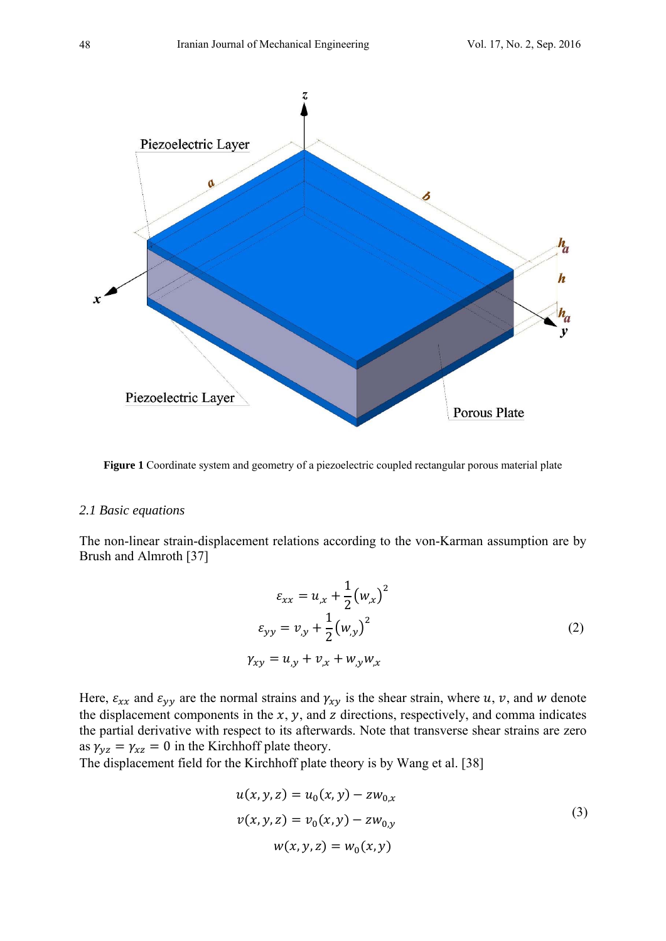

**Figure 1** Coordinate system and geometry of a piezoelectric coupled rectangular porous material plate

### *2.1 Basic equations*

The non-linear strain-displacement relations according to the von-Karman assumption are by Brush and Almroth [37]

$$
\varepsilon_{xx} = u_{,x} + \frac{1}{2} (w_{,x})^2
$$
  
\n
$$
\varepsilon_{yy} = v_{,y} + \frac{1}{2} (w_{,y})^2
$$
  
\n
$$
\gamma_{xy} = u_{,y} + v_{,x} + w_{,y} w_{,x}
$$
\n(2)

Here,  $\varepsilon_{xx}$  and  $\varepsilon_{yy}$  are the normal strains and  $\gamma_{xy}$  is the shear strain, where u, v, and w denote the displacement components in the  $x$ ,  $y$ , and  $z$  directions, respectively, and comma indicates the partial derivative with respect to its afterwards. Note that transverse shear strains are zero as  $\gamma_{yz} = \gamma_{xz} = 0$  in the Kirchhoff plate theory.

The displacement field for the Kirchhoff plate theory is by Wang et al. [38]

$$
u(x, y, z) = u_0(x, y) - zw_{0,x}
$$
  

$$
v(x, y, z) = v_0(x, y) - zw_{0,y}
$$
  

$$
w(x, y, z) = w_0(x, y)
$$
 (3)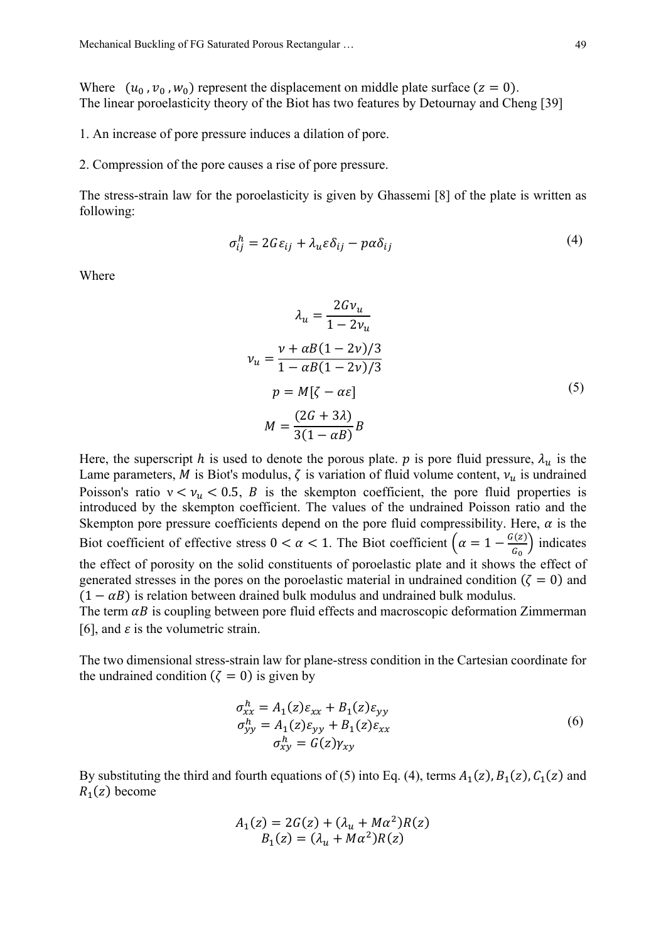Where  $(u_0, v_0, w_0)$  represent the displacement on middle plate surface  $(z = 0)$ . The linear poroelasticity theory of the Biot has two features by Detournay and Cheng [39]

1. An increase of pore pressure induces a dilation of pore.

2. Compression of the pore causes a rise of pore pressure.

The stress-strain law for the poroelasticity is given by Ghassemi [8] of the plate is written as following:

$$
\sigma_{ij}^h = 2G\varepsilon_{ij} + \lambda_u \varepsilon \delta_{ij} - p\alpha \delta_{ij} \tag{4}
$$

Where

$$
\lambda_u = \frac{2Gv_u}{1 - 2v_u}
$$
  

$$
v_u = \frac{v + \alpha B(1 - 2v)/3}{1 - \alpha B(1 - 2v)/3}
$$
  

$$
p = M[\zeta - \alpha \varepsilon]
$$
  

$$
M = \frac{(2G + 3\lambda)}{3(1 - \alpha B)}B
$$
 (5)

Here, the superscript h is used to denote the porous plate. p is pore fluid pressure,  $\lambda_u$  is the Lame parameters, M is Biot's modulus,  $\zeta$  is variation of fluid volume content,  $v_u$  is undrained Poisson's ratio  $v < v_u < 0.5$ , B is the skempton coefficient, the pore fluid properties is introduced by the skempton coefficient. The values of the undrained Poisson ratio and the Skempton pore pressure coefficients depend on the pore fluid compressibility. Here,  $\alpha$  is the Biot coefficient of effective stress  $0 < \alpha < 1$ . The Biot coefficient  $\left(\alpha = 1 - \frac{G(z)}{G_0}\right)$  indicates the effect of porosity on the solid constituents of poroelastic plate and it shows the effect of generated stresses in the pores on the poroelastic material in undrained condition ( $\zeta = 0$ ) and  $(1 - \alpha B)$  is relation between drained bulk modulus and undrained bulk modulus.

The term  $\alpha B$  is coupling between pore fluid effects and macroscopic deformation Zimmerman [6], and  $\varepsilon$  is the volumetric strain.

The two dimensional stress-strain law for plane-stress condition in the Cartesian coordinate for the undrained condition ( $\zeta = 0$ ) is given by

$$
\sigma_{xx}^h = A_1(z)\varepsilon_{xx} + B_1(z)\varepsilon_{yy}
$$
  
\n
$$
\sigma_{yy}^h = A_1(z)\varepsilon_{yy} + B_1(z)\varepsilon_{xx}
$$
  
\n
$$
\sigma_{xy}^h = G(z)\gamma_{xy}
$$
\n(6)

By substituting the third and fourth equations of (5) into Eq. (4), terms  $A_1(z)$ ,  $B_1(z)$ ,  $C_1(z)$  and  $R_1(z)$  become

$$
A_1(z) = 2G(z) + (\lambda_u + M\alpha^2)R(z)
$$
  

$$
B_1(z) = (\lambda_u + M\alpha^2)R(z)
$$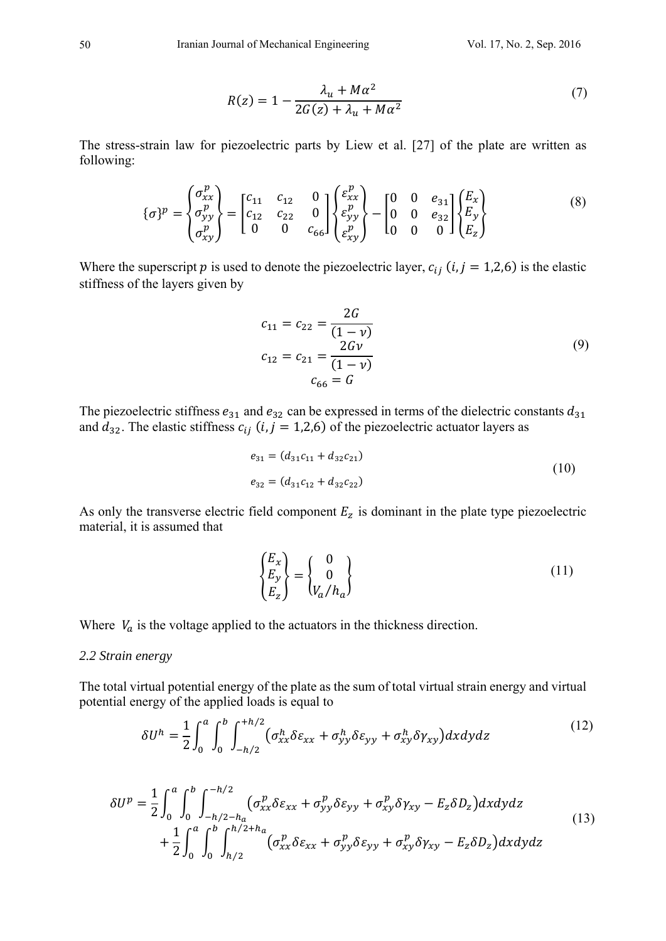$$
R(z) = 1 - \frac{\lambda_u + M\alpha^2}{2G(z) + \lambda_u + M\alpha^2}
$$
\n<sup>(7)</sup>

The stress-strain law for piezoelectric parts by Liew et al. [27] of the plate are written as following:

$$
\{\sigma\}^p = \begin{Bmatrix} \sigma_{xx}^p \\ \sigma_{yy}^p \\ \sigma_{xy}^p \end{Bmatrix} = \begin{bmatrix} c_{11} & c_{12} & 0 \\ c_{12} & c_{22} & 0 \\ 0 & 0 & c_{66} \end{bmatrix} \begin{Bmatrix} \varepsilon_{xx}^p \\ \varepsilon_{yy}^p \\ \varepsilon_{xy}^p \end{Bmatrix} - \begin{bmatrix} 0 & 0 & e_{31} \\ 0 & 0 & e_{32} \\ 0 & 0 & 0 \end{bmatrix} \begin{Bmatrix} E_x \\ E_y \\ E_z \end{Bmatrix}
$$
 (8)

Where the superscript p is used to denote the piezoelectric layer,  $c_{ij}$  (*i*, *j* = 1,2,6) is the elastic stiffness of the layers given by

$$
c_{11} = c_{22} = \frac{2G}{(1 - v)}
$$
  
\n
$$
c_{12} = c_{21} = \frac{2Gv}{(1 - v)}
$$
  
\n
$$
c_{66} = G
$$
\n(9)

The piezoelectric stiffness  $e_{31}$  and  $e_{32}$  can be expressed in terms of the dielectric constants  $d_{31}$ and  $d_{32}$ . The elastic stiffness  $c_{ij}$  (i, j = 1,2,6) of the piezoelectric actuator layers as

$$
e_{31} = (d_{31}c_{11} + d_{32}c_{21})
$$
  
\n
$$
e_{32} = (d_{31}c_{12} + d_{32}c_{22})
$$
\n(10)

As only the transverse electric field component  $E_z$  is dominant in the plate type piezoelectric material, it is assumed that

$$
\begin{Bmatrix} E_x \\ E_y \\ E_z \end{Bmatrix} = \begin{Bmatrix} 0 \\ 0 \\ V_a/h_a \end{Bmatrix}
$$
\n(11)

Where  $V_a$  is the voltage applied to the actuators in the thickness direction.

#### 2.2 Strain energy

The total virtual potential energy of the plate as the sum of total virtual strain energy and virtual potential energy of the applied loads is equal to

$$
\delta U^h = \frac{1}{2} \int_0^a \int_0^b \int_{-h/2}^{+h/2} \left( \sigma_{xx}^h \delta \varepsilon_{xx} + \sigma_{yy}^h \delta \varepsilon_{yy} + \sigma_{xy}^h \delta \gamma_{xy} \right) dx dy dz \tag{12}
$$

$$
\delta U^{p} = \frac{1}{2} \int_{0}^{a} \int_{0}^{b} \int_{-h/2 - h_{a}}^{-h/2} (\sigma_{xx}^{p} \delta \varepsilon_{xx} + \sigma_{yy}^{p} \delta \varepsilon_{yy} + \sigma_{xy}^{p} \delta \gamma_{xy} - E_{z} \delta D_{z}) dx dy dz + \frac{1}{2} \int_{0}^{a} \int_{0}^{b} \int_{h/2}^{h/2 + h_{a}} (\sigma_{xx}^{p} \delta \varepsilon_{xx} + \sigma_{yy}^{p} \delta \varepsilon_{yy} + \sigma_{xy}^{p} \delta \gamma_{xy} - E_{z} \delta D_{z}) dx dy dz
$$
\n(13)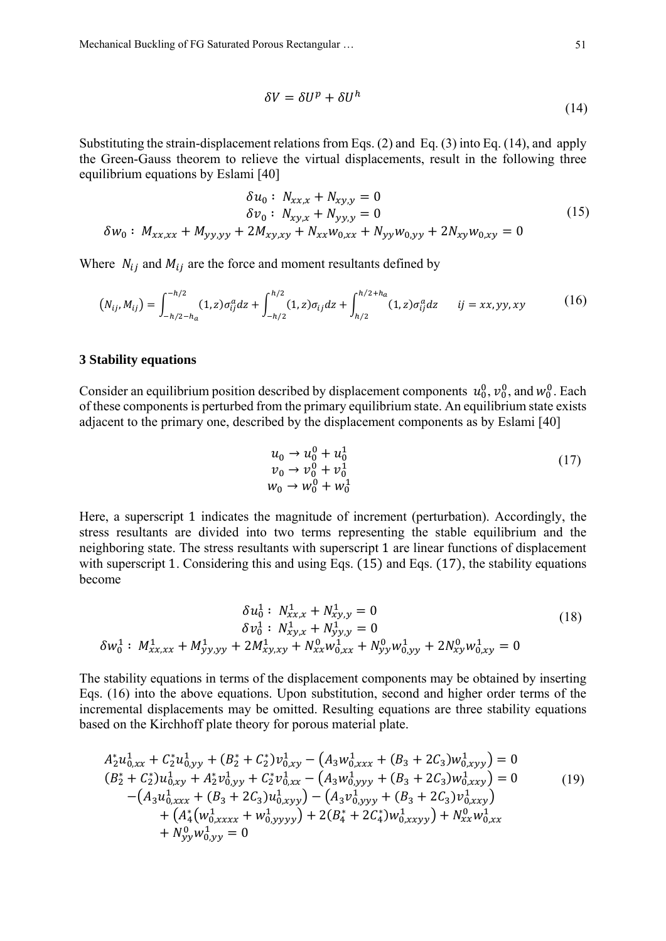Mechanical Buckling of FG Saturated Porous Rectangular … 51

$$
\delta V = \delta U^p + \delta U^h \tag{14}
$$

Substituting the strain-displacement relations from Eqs.  $(2)$  and Eq.  $(3)$  into Eq.  $(14)$ , and apply the Green-Gauss theorem to relieve the virtual displacements, result in the following three equilibrium equations by Eslami [40]

$$
\delta u_0: N_{xx,x} + N_{xy,y} = 0
$$
  
\n
$$
\delta v_0: N_{xy,x} + N_{yy,y} = 0
$$
  
\n
$$
\delta w_0: M_{xx,xx} + M_{yy,yy} + 2M_{xy,xy} + N_{xx}w_{0,xx} + N_{yy}w_{0,yy} + 2N_{xy}w_{0,xy} = 0
$$
\n(15)

Where  $N_{ij}$  and  $M_{ij}$  are the force and moment resultants defined by

$$
(N_{ij}, M_{ij}) = \int_{-h/2 - h_a}^{-h/2} (1, z) \sigma_{ij}^a dz + \int_{-h/2}^{h/2} (1, z) \sigma_{ij} dz + \int_{h/2}^{h/2 + h_a} (1, z) \sigma_{ij}^a dz \qquad ij = xx, yy, xy
$$
 (16)

### **3 Stability equations**

Consider an equilibrium position described by displacement components  $u_0^0, v_0^0$ , and  $w_0^0$ . Each of these components is perturbed from the primary equilibrium state. An equilibrium state exists adjacent to the primary one, described by the displacement components as by Eslami [40]

$$
u_0 \to u_0^0 + u_0^1 \n v_0 \to v_0^0 + v_0^1 \n w_0 \to w_0^0 + w_0^1
$$
\n(17)

Here, a superscript 1 indicates the magnitude of increment (perturbation). Accordingly, the stress resultants are divided into two terms representing the stable equilibrium and the neighboring state. The stress resultants with superscript 1 are linear functions of displacement with superscript 1. Considering this and using Eqs.  $(15)$  and Eqs.  $(17)$ , the stability equations become

$$
\delta u_0^1 : N_{xx,x}^1 + N_{xy,y}^1 = 0
$$
  
\n
$$
\delta v_0^1 : N_{xy,x}^1 + N_{yy,y}^1 = 0
$$
  
\n
$$
\delta w_0^1 : M_{xx,xx}^1 + M_{yy,yy}^1 + 2M_{xy,xy}^1 + N_{xx}^0 w_{0,xx}^1 + N_{yy}^0 w_{0,yy}^1 + 2N_{xy}^0 w_{0,xy}^1 = 0
$$
\n(18)

The stability equations in terms of the displacement components may be obtained by inserting Eqs. (16) into the above equations. Upon substitution, second and higher order terms of the incremental displacements may be omitted. Resulting equations are three stability equations based on the Kirchhoff plate theory for porous material plate.

$$
A_2^* u_{0,xx}^1 + C_2^* u_{0,yy}^1 + (B_2^* + C_2^*) v_{0,xy}^1 - (A_3 w_{0,xxx}^1 + (B_3 + 2C_3) w_{0,xyy}^1) = 0
$$
  
\n
$$
(B_2^* + C_2^*) u_{0,xy}^1 + A_2^* v_{0,yy}^1 + C_2^* v_{0,xx}^1 - (A_3 w_{0,yyy}^1 + (B_3 + 2C_3) w_{0,xyy}^1) = 0
$$
  
\n
$$
- (A_3 u_{0,xxx}^1 + (B_3 + 2C_3) u_{0,xyy}^1) - (A_3 v_{0,yyy}^1 + (B_3 + 2C_3) v_{0,xxy}^1) + (A_4^* (w_{0,xxxx}^1 + w_{0,yyyy}^1) + 2(B_4^* + 2C_4^*) w_{0,xxyy}^1) + N_{xx}^0 w_{0,xx}^1 + N_{yy}^0 w_{0,yy}^1 = 0
$$
\n(19)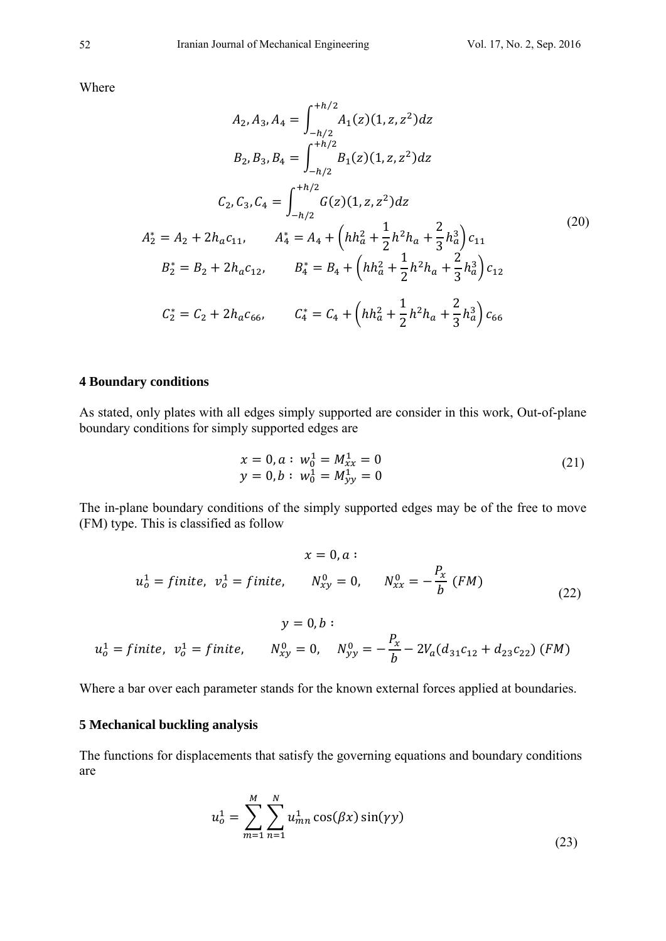Where

$$
A_2, A_3, A_4 = \int_{-h/2}^{+h/2} A_1(z)(1, z, z^2) dz
$$
  
\n
$$
B_2, B_3, B_4 = \int_{-h/2}^{+h/2} B_1(z)(1, z, z^2) dz
$$
  
\n
$$
C_2, C_3, C_4 = \int_{-h/2}^{+h/2} G(z)(1, z, z^2) dz
$$
  
\n
$$
A_2^* = A_2 + 2h_a c_{11}, \qquad A_4^* = A_4 + \left( h h_a^2 + \frac{1}{2} h^2 h_a + \frac{2}{3} h_a^3 \right) c_{11}
$$
  
\n
$$
B_2^* = B_2 + 2h_a c_{12}, \qquad B_4^* = B_4 + \left( h h_a^2 + \frac{1}{2} h^2 h_a + \frac{2}{3} h_a^3 \right) c_{12}
$$
  
\n
$$
C_2^* = C_2 + 2h_a c_{66}, \qquad C_4^* = C_4 + \left( h h_a^2 + \frac{1}{2} h^2 h_a + \frac{2}{3} h_a^3 \right) c_{66}
$$
  
\n(20)

## **4 Boundary conditions**

As stated, only plates with all edges simply supported are consider in this work, Out-of-plane boundary conditions for simply supported edges are

$$
x = 0, a: w_0^1 = M_{xx}^1 = 0
$$
  
y = 0, b: w\_0^1 = M\_{yy}^1 = 0 (21)

The in-plane boundary conditions of the simply supported edges may be of the free to move (FM) type. This is classified as follow

$$
x = 0, a:
$$
  
\n
$$
u_0^1 = finite, \quad v_0^1 = finite, \quad N_{xy}^0 = 0, \quad N_{xx}^0 = -\frac{P_x}{b} \ (FM)
$$
  
\n
$$
y = 0, b:
$$
  
\n
$$
u_0^1 = finite, \quad v_0^1 = finite, \quad N_{xy}^0 = 0, \quad N_{yy}^0 = -\frac{P_x}{b} - 2V_a(d_{31}c_{12} + d_{23}c_{22}) \ (FM)
$$
\n(22)

Where a bar over each parameter stands for the known external forces applied at boundaries.

## **5 Mechanical buckling analysis**

The functions for displacements that satisfy the governing equations and boundary conditions are

$$
u_o^1 = \sum_{m=1}^M \sum_{n=1}^N u_{mn}^1 \cos(\beta x) \sin(\gamma y)
$$
 (23)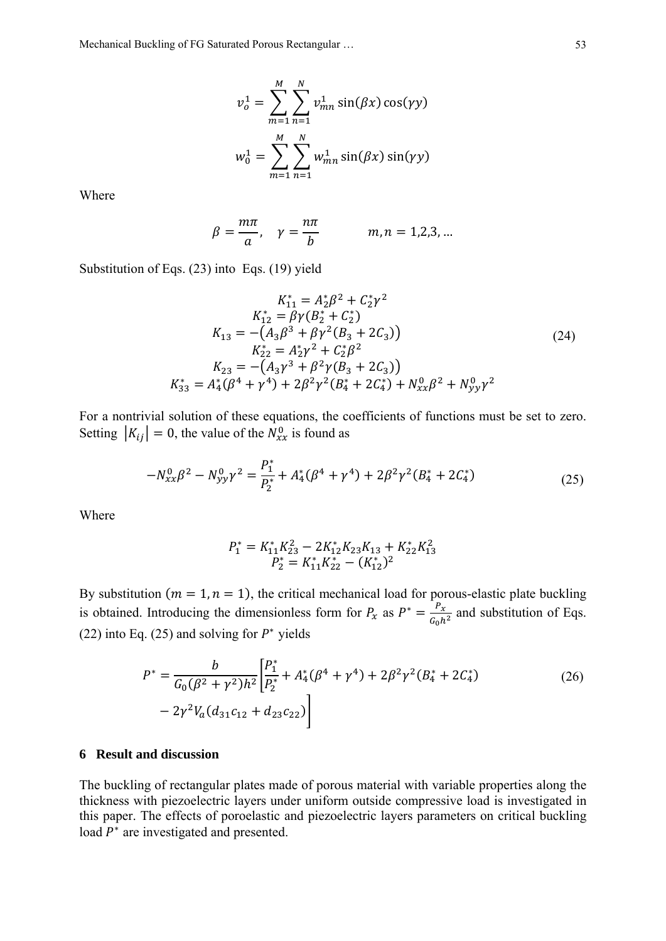Mechanical Buckling of FG Saturated Porous Rectangular … 53

$$
v_o^1 = \sum_{m=1}^M \sum_{n=1}^N v_{mn}^1 \sin(\beta x) \cos(\gamma y)
$$
  

$$
w_0^1 = \sum_{m=1}^M \sum_{n=1}^N w_{mn}^1 \sin(\beta x) \sin(\gamma y)
$$

Where

$$
\beta = \frac{m\pi}{a}, \quad \gamma = \frac{n\pi}{b} \qquad m, n = 1, 2, 3, \dots
$$

Substitution of Eqs. (23) into Eqs. (19) yield

$$
K_{11}^{*} = A_{2}^{*} \beta^{2} + C_{2}^{*} \gamma^{2}
$$
  
\n
$$
K_{12}^{*} = \beta \gamma (B_{2}^{*} + C_{2}^{*})
$$
  
\n
$$
K_{13} = -(A_{3} \beta^{3} + \beta \gamma^{2} (B_{3} + 2C_{3}))
$$
  
\n
$$
K_{22}^{*} = A_{2}^{*} \gamma^{2} + C_{2}^{*} \beta^{2}
$$
  
\n
$$
K_{23} = -(A_{3} \gamma^{3} + \beta^{2} \gamma (B_{3} + 2C_{3}))
$$
  
\n
$$
K_{33}^{*} = A_{4}^{*} (\beta^{4} + \gamma^{4}) + 2\beta^{2} \gamma^{2} (B_{4}^{*} + 2C_{4}^{*}) + N_{xx}^{0} \beta^{2} + N_{yy}^{0} \gamma^{2}
$$
  
\n(24)

For a nontrivial solution of these equations, the coefficients of functions must be set to zero. Setting  $|K_{ij}| = 0$ , the value of the  $N_{xx}^0$  is found as

$$
-N_{xx}^0 \beta^2 - N_{yy}^0 \gamma^2 = \frac{P_1^*}{P_2^*} + A_4^* (\beta^4 + \gamma^4) + 2\beta^2 \gamma^2 (B_4^* + 2C_4^*)
$$
\n(25)

Where

$$
P_1^* = K_{11}^* K_{23}^2 - 2K_{12}^* K_{23} K_{13} + K_{22}^* K_{13}^2
$$
  

$$
P_2^* = K_{11}^* K_{22}^* - (K_{12}^*)^2
$$

By substitution  $(m = 1, n = 1)$ , the critical mechanical load for porous-elastic plate buckling is obtained. Introducing the dimensionless form for  $P_x$  as  $P^* = \frac{P_x}{G_0 h^2}$  and substitution of Eqs. (22) into Eq. (25) and solving for  $P^*$  yields

$$
P^* = \frac{b}{G_0(\beta^2 + \gamma^2)h^2} \left[ \frac{P_1^*}{P_2^*} + A_4^*(\beta^4 + \gamma^4) + 2\beta^2\gamma^2(B_4^* + 2C_4^*) - 2\gamma^2V_a(d_{31}c_{12} + d_{23}c_{22}) \right]
$$
(26)

## **6 Result and discussion**

The buckling of rectangular plates made of porous material with variable properties along the thickness with piezoelectric layers under uniform outside compressive load is investigated in this paper. The effects of poroelastic and piezoelectric layers parameters on critical buckling load  $P^*$  are investigated and presented.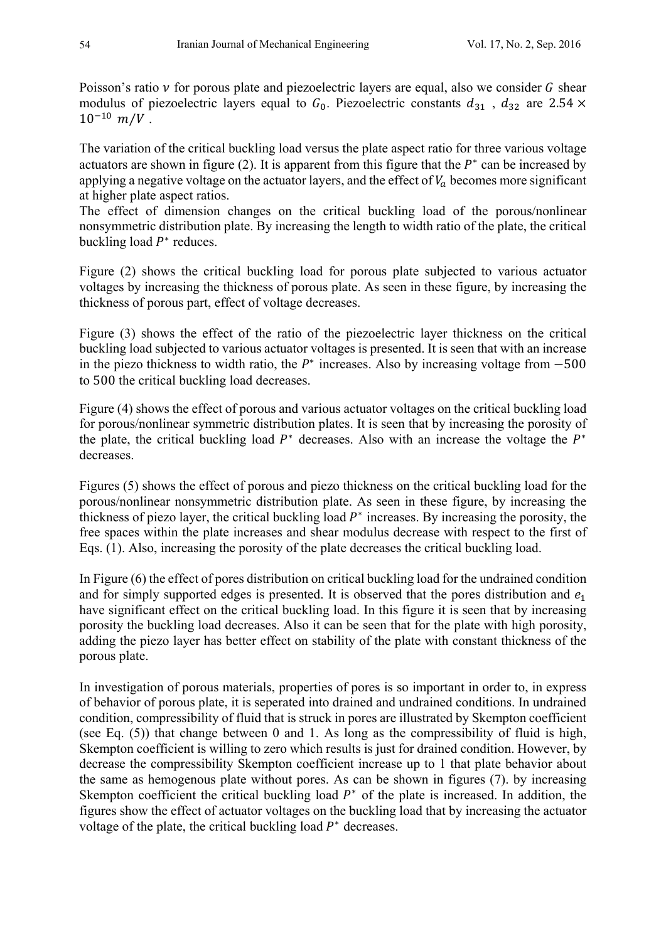Poisson's ratio  $\nu$  for porous plate and piezoelectric layers are equal, also we consider G shear modulus of piezoelectric layers equal to  $G_0$ . Piezoelectric constants  $d_{31}$ ,  $d_{32}$  are 2.54  $\times$  $10^{-10}$   $m/V$ .

The variation of the critical buckling load versus the plate aspect ratio for three various voltage actuators are shown in figure (2). It is apparent from this figure that the  $P<sup>∗</sup>$  can be increased by applying a negative voltage on the actuator layers, and the effect of  $V_a$  becomes more significant at higher plate aspect ratios.

The effect of dimension changes on the critical buckling load of the porous/nonlinear nonsymmetric distribution plate. By increasing the length to width ratio of the plate, the critical buckling load  $P^*$  reduces.

Figure (2) shows the critical buckling load for porous plate subjected to various actuator voltages by increasing the thickness of porous plate. As seen in these figure, by increasing the thickness of porous part, effect of voltage decreases.

Figure (3) shows the effect of the ratio of the piezoelectric layer thickness on the critical buckling load subjected to various actuator voltages is presented. It is seen that with an increase in the piezo thickness to width ratio, the  $P^*$  increases. Also by increasing voltage from  $-500$ to 500 the critical buckling load decreases.

Figure (4) shows the effect of porous and various actuator voltages on the critical buckling load for porous/nonlinear symmetric distribution plates. It is seen that by increasing the porosity of the plate, the critical buckling load  $P^*$  decreases. Also with an increase the voltage the  $P^*$ decreases.

Figures (5) shows the effect of porous and piezo thickness on the critical buckling load for the porous/nonlinear nonsymmetric distribution plate. As seen in these figure, by increasing the thickness of piezo layer, the critical buckling load  $P^*$  increases. By increasing the porosity, the free spaces within the plate increases and shear modulus decrease with respect to the first of Eqs. (1). Also, increasing the porosity of the plate decreases the critical buckling load.

In Figure (6) the effect of pores distribution on critical buckling load for the undrained condition and for simply supported edges is presented. It is observed that the pores distribution and  $e_1$ have significant effect on the critical buckling load. In this figure it is seen that by increasing porosity the buckling load decreases. Also it can be seen that for the plate with high porosity, adding the piezo layer has better effect on stability of the plate with constant thickness of the porous plate.

In investigation of porous materials, properties of pores is so important in order to, in express of behavior of porous plate, it is seperated into drained and undrained conditions. In undrained condition, compressibility of fluid that is struck in pores are illustrated by Skempton coefficient (see Eq. (5)) that change between 0 and 1. As long as the compressibility of fluid is high, Skempton coefficient is willing to zero which results is just for drained condition. However, by decrease the compressibility Skempton coefficient increase up to 1 that plate behavior about the same as hemogenous plate without pores. As can be shown in figures (7). by increasing Skempton coefficient the critical buckling load  $P^*$  of the plate is increased. In addition, the figures show the effect of actuator voltages on the buckling load that by increasing the actuator voltage of the plate, the critical buckling load  $P^*$  decreases.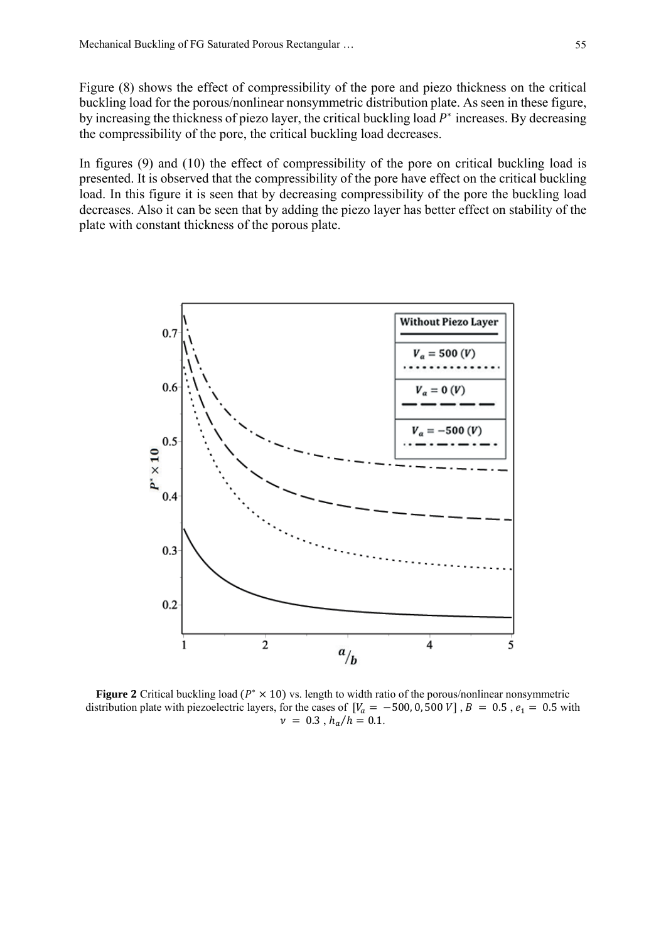Figure (8) shows the effect of compressibility of the pore and piezo thickness on the critical buckling load for the porous/nonlinear nonsymmetric distribution plate. As seen in these figure, by increasing the thickness of piezo layer, the critical buckling load  $P^*$  increases. By decreasing the compressibility of the pore, the critical buckling load decreases.

In figures (9) and (10) the effect of compressibility of the pore on critical buckling load is presented. It is observed that the compressibility of the pore have effect on the critical buckling load. In this figure it is seen that by decreasing compressibility of the pore the buckling load decreases. Also it can be seen that by adding the piezo layer has better effect on stability of the plate with constant thickness of the porous plate.



**Figure 2** Critical buckling load  $(P^* \times 10)$  vs. length to width ratio of the porous/nonlinear nonsymmetric distribution plate with piezoelectric layers, for the cases of  $[V_a = -500, 0, 500 V]$ ,  $B = 0.5$ ,  $e_1 = 0.5$  with  $v = 0.3$ ,  $h_a/h = 0.1$ .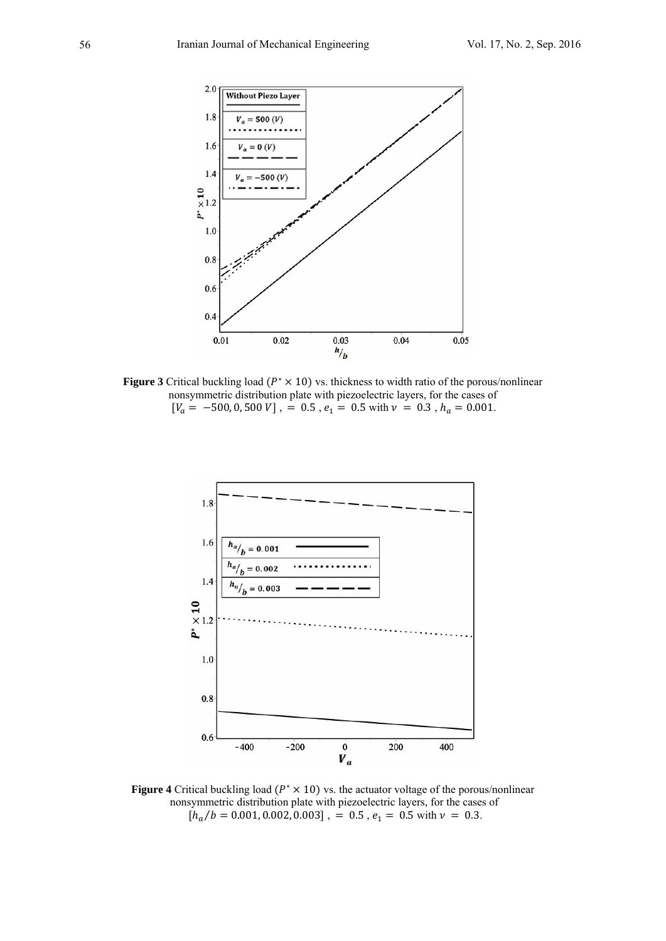

Figure 3 Critical buckling load ( $P^* \times 10$ ) vs. thickness to width ratio of the porous/nonlinear nonsymmetric distribution plate with piezoelectric layers, for the cases of  $[V_a = -500, 0, 500 V]$ , = 0.5,  $e_1 = 0.5$  with  $v = 0.3$ ,  $h_a = 0.001$ .



**Figure 4** Critical buckling load ( $P^* \times 10$ ) vs. the actuator voltage of the porous/nonlinear nonsymmetric distribution plate with piezoelectric layers, for the cases of  $[h_a/b = 0.001, 0.002, 0.003]$ , = 0.5,  $e_1 = 0.5$  with  $v = 0.3$ .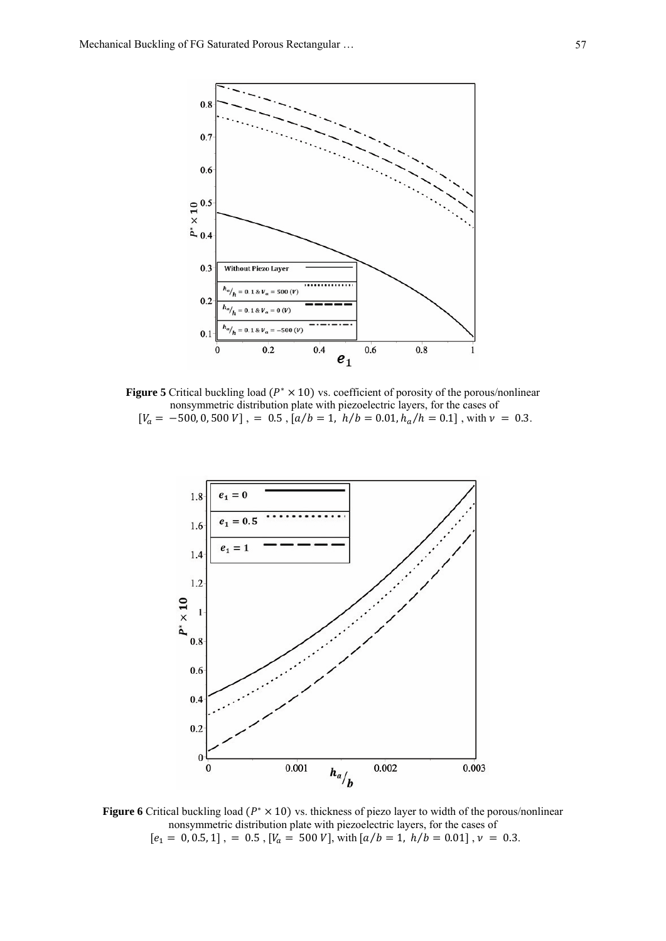

**Figure 5** Critical buckling load ( $P^* \times 10$ ) vs. coefficient of porosity of the porous/nonlinear nonsymmetric distribution plate with piezoelectric layers, for the cases of  $[V_a = -500, 0, 500 V]$ , = 0.5,  $[a/b = 1, h/b = 0.01, h_a/h = 0.1]$ , with  $v = 0.3$ .



Figure 6 Critical buckling load ( $P^* \times 10$ ) vs. thickness of piezo layer to width of the porous/nonlinear nonsymmetric distribution plate with piezoelectric layers, for the cases of  $[e_1 = 0, 0.5, 1]$ , = 0.5,  $[V_a = 500 V]$ , with  $[a/b = 1, h/b = 0.01]$ ,  $v = 0.3$ .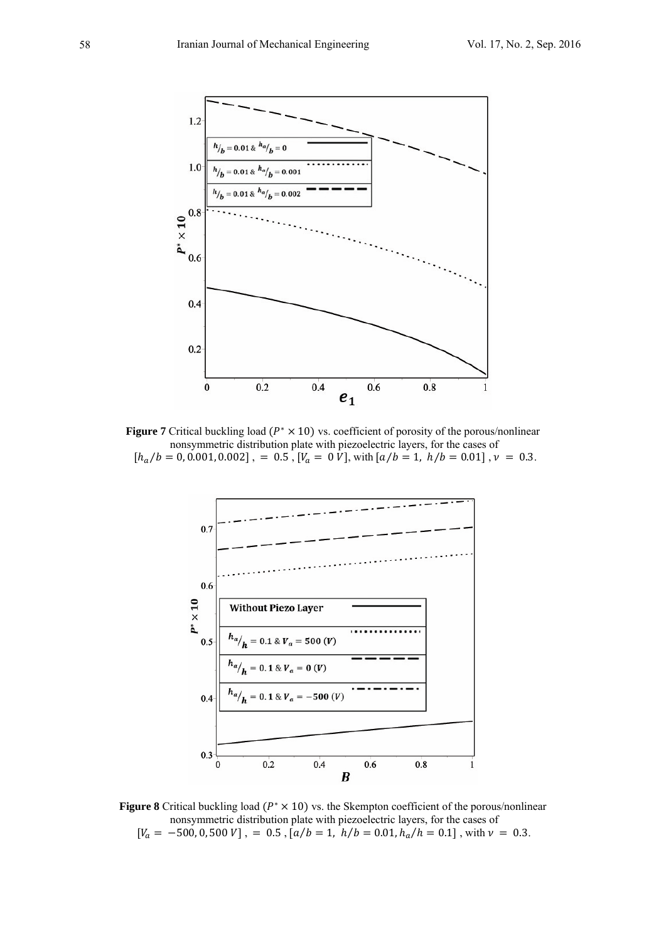

**Figure 7** Critical buckling load ( $P^* \times 10$ ) vs. coefficient of porosity of the porous/nonlinear nonsymmetric distribution plate with piezoelectric layers, for the cases of  $[h_a/b = 0, 0.001, 0.002]$ , = 0.5,  $[V_a = 0 \dot{V}]$ , with  $[a/b = 1, h/b = 0.01]$ ,  $v = 0.3$ .



**Figure 8** Critical buckling load ( $P^* \times 10$ ) vs. the Skempton coefficient of the porous/nonlinear nonsymmetric distribution plate with piezoelectric layers, for the cases of  $[V_a = -500, 0, 500 V]$ , = 0.5,  $[a/b = 1, h/b = 0.01, h_a/h = 0.1]$ , with  $v = 0.3$ .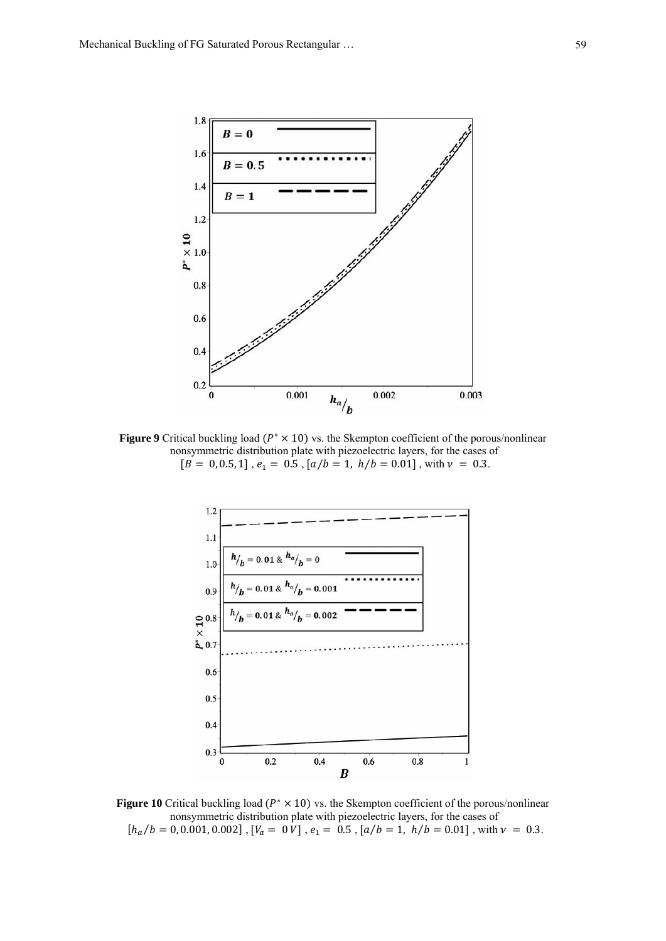

**Figure 9** Critical buckling load ( $P^* \times 10$ ) vs. the Skempton coefficient of the porous/nonlinear nonsymmetric distribution plate with piezoelectric layers, for the cases of  $[B = 0, 0.5, 1], e_1 = 0.5, [a/b = 1, h/b = 0.01],$  with  $\nu = 0.3$ .



**Figure 10** Critical buckling load ( $P^* \times 10$ ) vs. the Skempton coefficient of the porous/nonlinear nonsymmetric distribution plate with piezoelectric layers, for the cases of  $[h_a/b = 0, 0.001, 0.002]$ ,  $[V_a = 0 V]$ ,  $e_1 = 0.5$ ,  $[a/b = 1, h/b = 0.01]$ , with  $v = 0.3$ .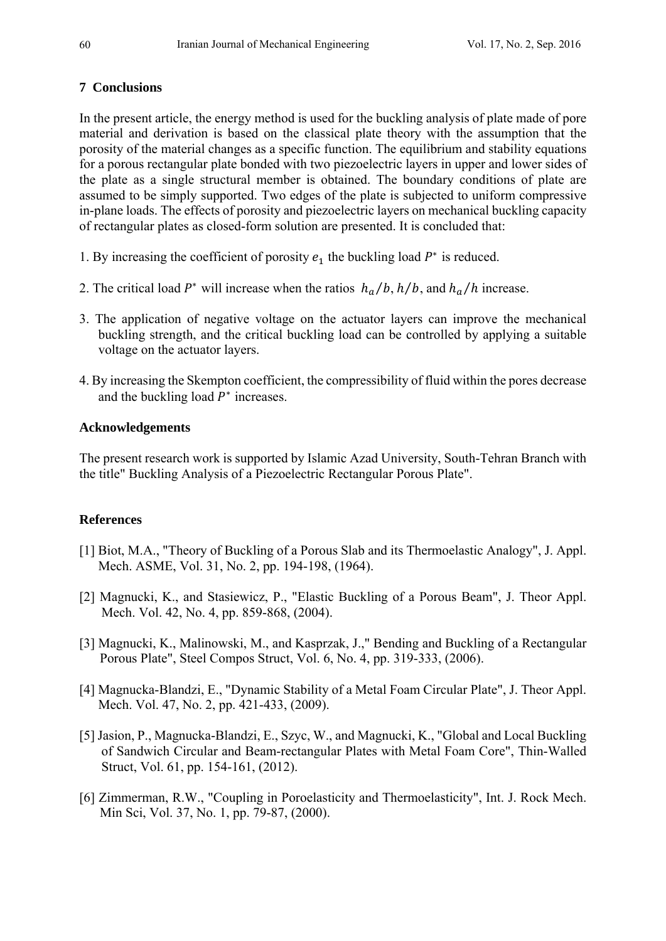# **7 Conclusions**

In the present article, the energy method is used for the buckling analysis of plate made of pore material and derivation is based on the classical plate theory with the assumption that the porosity of the material changes as a specific function. The equilibrium and stability equations for a porous rectangular plate bonded with two piezoelectric layers in upper and lower sides of the plate as a single structural member is obtained. The boundary conditions of plate are assumed to be simply supported. Two edges of the plate is subjected to uniform compressive in-plane loads. The effects of porosity and piezoelectric layers on mechanical buckling capacity of rectangular plates as closed-form solution are presented. It is concluded that:

- 1. By increasing the coefficient of porosity  $e_1$  the buckling load  $P^*$  is reduced.
- 2. The critical load  $P^*$  will increase when the ratios  $h_a/b$ ,  $h/b$ , and  $h_a/h$  increase.
- 3. The application of negative voltage on the actuator layers can improve the mechanical buckling strength, and the critical buckling load can be controlled by applying a suitable voltage on the actuator layers.
- 4. By increasing the Skempton coefficient, the compressibility of fluid within the pores decrease and the buckling load  $P^*$  increases.

## **Acknowledgements**

The present research work is supported by Islamic Azad University, South-Tehran Branch with the title" Buckling Analysis of a Piezoelectric Rectangular Porous Plate".

# **References**

- [1] Biot, M.A., "Theory of Buckling of a Porous Slab and its Thermoelastic Analogy", J. Appl. Mech. ASME, Vol. 31, No. 2, pp. 194-198, (1964).
- [2] Magnucki, K., and Stasiewicz, P., "Elastic Buckling of a Porous Beam", J. Theor Appl. Mech. Vol. 42, No. 4, pp. 859-868, (2004).
- [3] Magnucki, K., Malinowski, M., and Kasprzak, J.," Bending and Buckling of a Rectangular Porous Plate", Steel Compos Struct, Vol. 6, No. 4, pp. 319-333, (2006).
- [4] Magnucka-Blandzi, E., "Dynamic Stability of a Metal Foam Circular Plate", J. Theor Appl. Mech. Vol. 47, No. 2, pp. 421-433, (2009).
- [5] Jasion, P., Magnucka-Blandzi, E., Szyc, W., and Magnucki, K., "Global and Local Buckling of Sandwich Circular and Beam-rectangular Plates with Metal Foam Core", Thin-Walled Struct, Vol. 61, pp. 154-161, (2012).
- [6] Zimmerman, R.W., "Coupling in Poroelasticity and Thermoelasticity", Int. J. Rock Mech. Min Sci, Vol. 37, No. 1, pp. 79-87, (2000).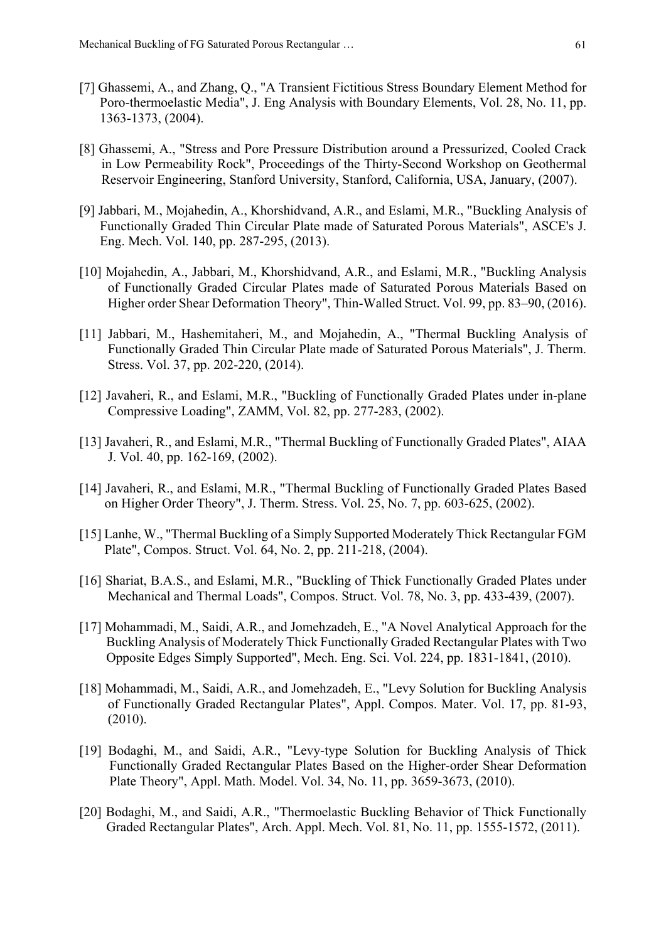- [7] Ghassemi, A., and Zhang, Q., "A Transient Fictitious Stress Boundary Element Method for Poro-thermoelastic Media", J. Eng Analysis with Boundary Elements, Vol. 28, No. 11, pp. 1363-1373, (2004).
- [8] Ghassemi, A., "Stress and Pore Pressure Distribution around a Pressurized, Cooled Crack in Low Permeability Rock", Proceedings of the Thirty-Second Workshop on Geothermal Reservoir Engineering, Stanford University, Stanford, California, USA, January, (2007).
- [9] Jabbari, M., Mojahedin, A., Khorshidvand, A.R., and Eslami, M.R., "Buckling Analysis of Functionally Graded Thin Circular Plate made of Saturated Porous Materials", ASCE's J. Eng. Mech. Vol. 140, pp. 287-295, (2013).
- [10] Mojahedin, A., Jabbari, M., Khorshidvand, A.R., and Eslami, M.R., "Buckling Analysis of Functionally Graded Circular Plates made of Saturated Porous Materials Based on Higher order Shear Deformation Theory", Thin-Walled Struct. Vol. 99, pp. 83–90, (2016).
- [11] Jabbari, M., Hashemitaheri, M., and Mojahedin, A., "Thermal Buckling Analysis of Functionally Graded Thin Circular Plate made of Saturated Porous Materials", J. Therm. Stress. Vol. 37, pp. 202-220, (2014).
- [12] Javaheri, R., and Eslami, M.R., "Buckling of Functionally Graded Plates under in-plane Compressive Loading", ZAMM, Vol. 82, pp. 277-283, (2002).
- [13] Javaheri, R., and Eslami, M.R., "Thermal Buckling of Functionally Graded Plates", AIAA J. Vol. 40, pp. 162-169, (2002).
- [14] Javaheri, R., and Eslami, M.R., "Thermal Buckling of Functionally Graded Plates Based on Higher Order Theory", J. Therm. Stress. Vol. 25, No. 7, pp. 603-625, (2002).
- [15] Lanhe, W., "Thermal Buckling of a Simply Supported Moderately Thick Rectangular FGM Plate", Compos. Struct. Vol. 64, No. 2, pp. 211-218, (2004).
- [16] Shariat, B.A.S., and Eslami, M.R., "Buckling of Thick Functionally Graded Plates under Mechanical and Thermal Loads", Compos. Struct. Vol. 78, No. 3, pp. 433-439, (2007).
- [17] Mohammadi, M., Saidi, A.R., and Jomehzadeh, E., "A Novel Analytical Approach for the Buckling Analysis of Moderately Thick Functionally Graded Rectangular Plates with Two Opposite Edges Simply Supported", Mech. Eng. Sci. Vol. 224, pp. 1831-1841, (2010).
- [18] Mohammadi, M., Saidi, A.R., and Jomehzadeh, E., "Levy Solution for Buckling Analysis of Functionally Graded Rectangular Plates", Appl. Compos. Mater. Vol. 17, pp. 81-93, (2010).
- [19] Bodaghi, M., and Saidi, A.R., "Levy-type Solution for Buckling Analysis of Thick Functionally Graded Rectangular Plates Based on the Higher-order Shear Deformation Plate Theory", Appl. Math. Model. Vol. 34, No. 11, pp. 3659-3673, (2010).
- [20] Bodaghi, M., and Saidi, A.R., "Thermoelastic Buckling Behavior of Thick Functionally Graded Rectangular Plates", Arch. Appl. Mech. Vol. 81, No. 11, pp. 1555-1572, (2011).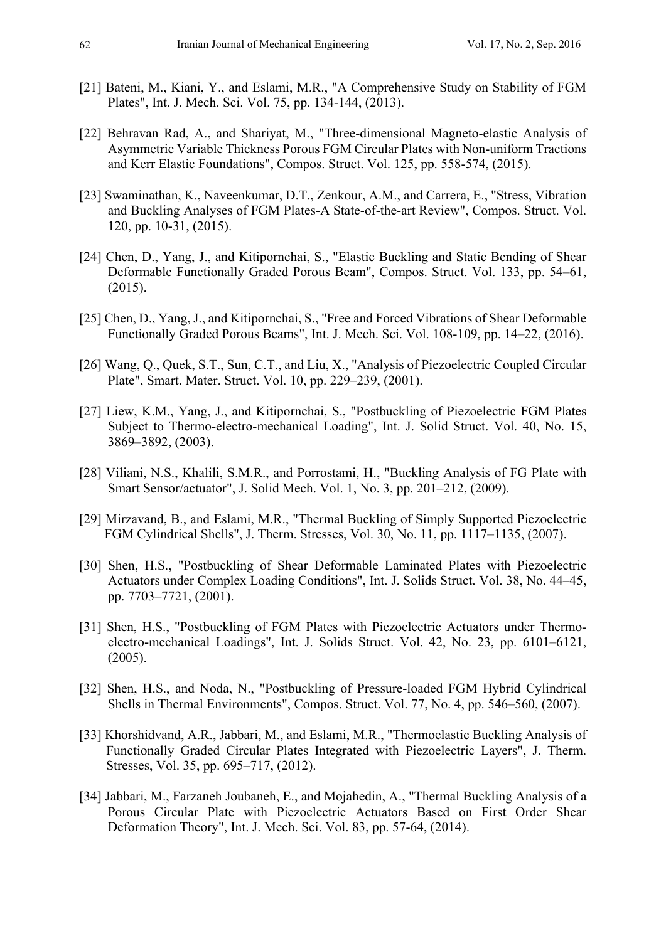- [21] Bateni, M., Kiani, Y., and Eslami, M.R., "A Comprehensive Study on Stability of FGM Plates", Int. J. Mech. Sci. Vol. 75, pp. 134-144, (2013).
- [22] Behravan Rad, A., and Shariyat, M., "Three-dimensional Magneto-elastic Analysis of Asymmetric Variable Thickness Porous FGM Circular Plates with Non-uniform Tractions and Kerr Elastic Foundations", Compos. Struct. Vol. 125, pp. 558-574, (2015).
- [23] Swaminathan, K., Naveenkumar, D.T., Zenkour, A.M., and Carrera, E., "Stress, Vibration and Buckling Analyses of FGM Plates-A State-of-the-art Review", Compos. Struct. Vol. 120, pp. 10-31, (2015).
- [24] Chen, D., Yang, J., and Kitipornchai, S., "Elastic Buckling and Static Bending of Shear Deformable Functionally Graded Porous Beam", Compos. Struct. Vol. 133, pp. 54–61, (2015).
- [25] Chen, D., Yang, J., and Kitipornchai, S., "Free and Forced Vibrations of Shear Deformable Functionally Graded Porous Beams", Int. J. Mech. Sci. Vol. 108-109, pp. 14–22, (2016).
- [26] Wang, Q., Quek, S.T., Sun, C.T., and Liu, X., "Analysis of Piezoelectric Coupled Circular Plate", Smart. Mater. Struct. Vol. 10, pp. 229–239, (2001).
- [27] Liew, K.M., Yang, J., and Kitipornchai, S., "Postbuckling of Piezoelectric FGM Plates Subject to Thermo-electro-mechanical Loading", Int. J. Solid Struct. Vol. 40, No. 15, 3869–3892, (2003).
- [28] Viliani, N.S., Khalili, S.M.R., and Porrostami, H., "Buckling Analysis of FG Plate with Smart Sensor/actuator", J. Solid Mech. Vol. 1, No. 3, pp. 201–212, (2009).
- [29] Mirzavand, B., and Eslami, M.R., "Thermal Buckling of Simply Supported Piezoelectric FGM Cylindrical Shells", J. Therm. Stresses, Vol. 30, No. 11, pp. 1117–1135, (2007).
- [30] Shen, H.S., "Postbuckling of Shear Deformable Laminated Plates with Piezoelectric Actuators under Complex Loading Conditions", Int. J. Solids Struct. Vol. 38, No. 44–45, pp. 7703–7721, (2001).
- [31] Shen, H.S., "Postbuckling of FGM Plates with Piezoelectric Actuators under Thermoelectro-mechanical Loadings", Int. J. Solids Struct. Vol. 42, No. 23, pp. 6101–6121, (2005).
- [32] Shen, H.S., and Noda, N., "Postbuckling of Pressure-loaded FGM Hybrid Cylindrical Shells in Thermal Environments", Compos. Struct. Vol. 77, No. 4, pp. 546–560, (2007).
- [33] Khorshidvand, A.R., Jabbari, M., and Eslami, M.R., "Thermoelastic Buckling Analysis of Functionally Graded Circular Plates Integrated with Piezoelectric Layers", J. Therm. Stresses, Vol. 35, pp. 695–717, (2012).
- [34] Jabbari, M., Farzaneh Joubaneh, E., and Mojahedin, A., "Thermal Buckling Analysis of a Porous Circular Plate with Piezoelectric Actuators Based on First Order Shear Deformation Theory", Int. J. Mech. Sci. Vol. 83, pp. 57-64, (2014).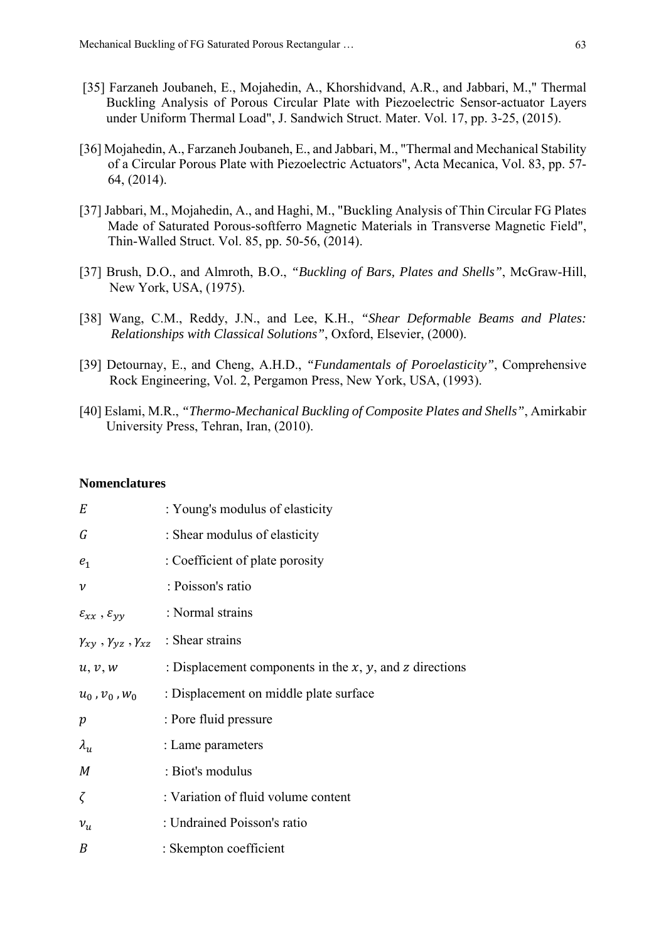- [35] Farzaneh Joubaneh, E., Mojahedin, A., Khorshidvand, A.R., and Jabbari, M.," Thermal Buckling Analysis of Porous Circular Plate with Piezoelectric Sensor-actuator Layers under Uniform Thermal Load", J. Sandwich Struct. Mater. Vol. 17, pp. 3-25, (2015).
- [36] Mojahedin, A., Farzaneh Joubaneh, E., and Jabbari, M., "Thermal and Mechanical Stability of a Circular Porous Plate with Piezoelectric Actuators", Acta Mecanica, Vol. 83, pp. 57- 64, (2014).
- [37] Jabbari, M., Mojahedin, A., and Haghi, M., "Buckling Analysis of Thin Circular FG Plates Made of Saturated Porous-softferro Magnetic Materials in Transverse Magnetic Field", Thin-Walled Struct. Vol. 85, pp. 50-56, (2014).
- [37] Brush, D.O., and Almroth, B.O., *"Buckling of Bars, Plates and Shells"*, McGraw-Hill, New York, USA, (1975).
- [38] Wang, C.M., Reddy, J.N., and Lee, K.H., *"Shear Deformable Beams and Plates: Relationships with Classical Solutions"*, Oxford, Elsevier, (2000).
- [39] Detournay, E., and Cheng, A.H.D., *"Fundamentals of Poroelasticity"*, Comprehensive Rock Engineering, Vol. 2, Pergamon Press, New York, USA, (1993).
- [40] Eslami, M.R., *"Thermo-Mechanical Buckling of Composite Plates and Shells"*, Amirkabir University Press, Tehran, Iran, (2010).

#### **Nomenclatures**

| E                                             | : Young's modulus of elasticity                                 |
|-----------------------------------------------|-----------------------------------------------------------------|
| G                                             | : Shear modulus of elasticity                                   |
| e <sub>1</sub>                                | : Coefficient of plate porosity                                 |
| $\mathcal V$                                  | : Poisson's ratio                                               |
| $\varepsilon_{xx}$ , $\varepsilon_{yy}$       | : Normal strains                                                |
| $\gamma_{xy}$ , $\gamma_{yz}$ , $\gamma_{xz}$ | : Shear strains                                                 |
| u, v, w                                       | : Displacement components in the $x$ , $y$ , and $z$ directions |
| $u_0$ , $v_0$ , $w_0$                         | : Displacement on middle plate surface                          |
| $\boldsymbol{p}$                              | : Pore fluid pressure                                           |
| $\lambda_u$                                   | : Lame parameters                                               |
| $M_{\rm}$                                     | : Biot's modulus                                                |
| $\zeta$                                       | : Variation of fluid volume content                             |
| $v_u$                                         | : Undrained Poisson's ratio                                     |
| B                                             | : Skempton coefficient                                          |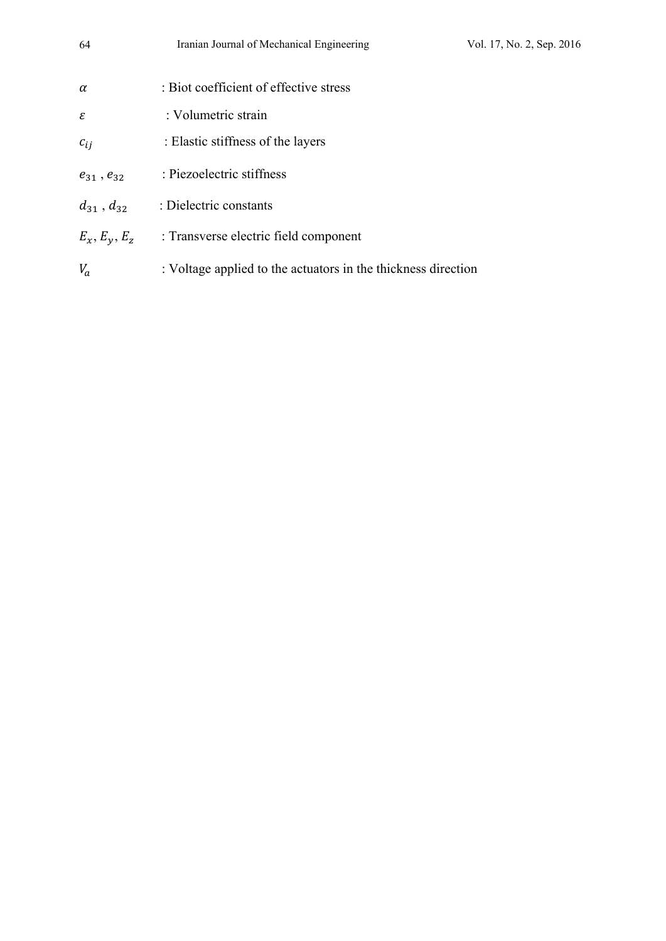| 64                  | Iranian Journal of Mechanical Engineering                     | Vol. 17, No. 2, Sep. 2016 |
|---------------------|---------------------------------------------------------------|---------------------------|
| $\alpha$            | : Biot coefficient of effective stress                        |                           |
| ε                   | : Volumetric strain                                           |                           |
| $c_{ij}$            | : Elastic stiffness of the layers                             |                           |
| $e_{31}$ , $e_{32}$ | : Piezoelectric stiffness                                     |                           |
| $d_{31}$ , $d_{32}$ | : Dielectric constants                                        |                           |
| $E_x, E_y, E_z$     | : Transverse electric field component                         |                           |
| $V_a$               | : Voltage applied to the actuators in the thickness direction |                           |